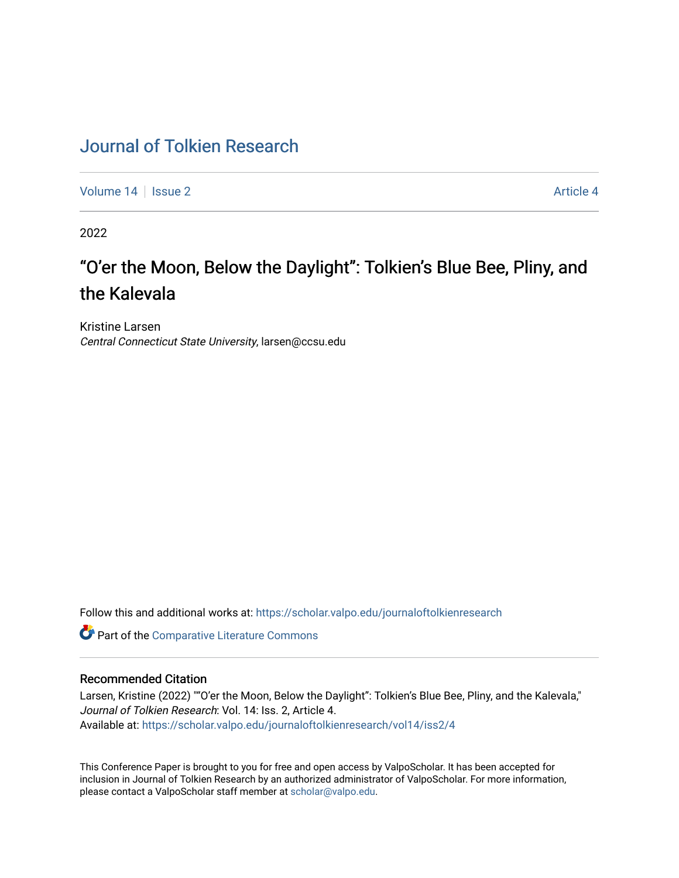## [Journal of Tolkien Research](https://scholar.valpo.edu/journaloftolkienresearch)

[Volume 14](https://scholar.valpo.edu/journaloftolkienresearch/vol14) | [Issue 2](https://scholar.valpo.edu/journaloftolkienresearch/vol14/iss2) Article 4

2022

# "O'er the Moon, Below the Daylight": Tolkien's Blue Bee, Pliny, and the Kalevala

Kristine Larsen Central Connecticut State University, larsen@ccsu.edu

Follow this and additional works at: [https://scholar.valpo.edu/journaloftolkienresearch](https://scholar.valpo.edu/journaloftolkienresearch?utm_source=scholar.valpo.edu%2Fjournaloftolkienresearch%2Fvol14%2Fiss2%2F4&utm_medium=PDF&utm_campaign=PDFCoverPages) 

**C** Part of the [Comparative Literature Commons](https://network.bepress.com/hgg/discipline/454?utm_source=scholar.valpo.edu%2Fjournaloftolkienresearch%2Fvol14%2Fiss2%2F4&utm_medium=PDF&utm_campaign=PDFCoverPages)

#### Recommended Citation

Larsen, Kristine (2022) ""O'er the Moon, Below the Daylight": Tolkien's Blue Bee, Pliny, and the Kalevala," Journal of Tolkien Research: Vol. 14: Iss. 2, Article 4. Available at: [https://scholar.valpo.edu/journaloftolkienresearch/vol14/iss2/4](https://scholar.valpo.edu/journaloftolkienresearch/vol14/iss2/4?utm_source=scholar.valpo.edu%2Fjournaloftolkienresearch%2Fvol14%2Fiss2%2F4&utm_medium=PDF&utm_campaign=PDFCoverPages) 

This Conference Paper is brought to you for free and open access by ValpoScholar. It has been accepted for inclusion in Journal of Tolkien Research by an authorized administrator of ValpoScholar. For more information, please contact a ValpoScholar staff member at [scholar@valpo.edu](mailto:scholar@valpo.edu).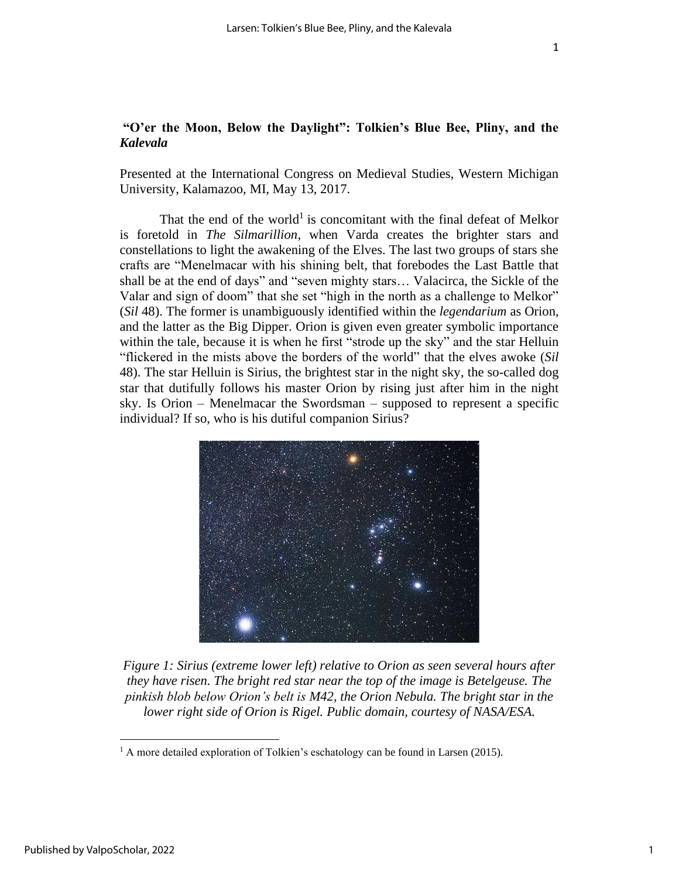### **"O'er the Moon, Below the Daylight": Tolkien's Blue Bee, Pliny, and the**  *Kalevala*

Presented at the International Congress on Medieval Studies, Western Michigan University, Kalamazoo, MI, May 13, 2017.

That the end of the world<sup>1</sup> is concomitant with the final defeat of Melkor is foretold in *The Silmarillion*, when Varda creates the brighter stars and constellations to light the awakening of the Elves. The last two groups of stars she crafts are "Menelmacar with his shining belt, that forebodes the Last Battle that shall be at the end of days" and "seven mighty stars… Valacirca, the Sickle of the Valar and sign of doom" that she set "high in the north as a challenge to Melkor" (*Sil* 48). The former is unambiguously identified within the *legendarium* as Orion, and the latter as the Big Dipper. Orion is given even greater symbolic importance within the tale, because it is when he first "strode up the sky" and the star Helluin "flickered in the mists above the borders of the world" that the elves awoke (*Sil* 48). The star Helluin is Sirius, the brightest star in the night sky, the so-called dog star that dutifully follows his master Orion by rising just after him in the night sky. Is Orion – Menelmacar the Swordsman – supposed to represent a specific individual? If so, who is his dutiful companion Sirius?



*Figure 1: Sirius (extreme lower left) relative to Orion as seen several hours after they have risen. The bright red star near the top of the image is Betelgeuse. The pinkish blob below Orion's belt is M42, the Orion Nebula. The bright star in the lower right side of Orion is Rigel. Public domain, courtesy of NASA/ESA.*

 $<sup>1</sup>$  A more detailed exploration of Tolkien's eschatology can be found in Larsen (2015).</sup>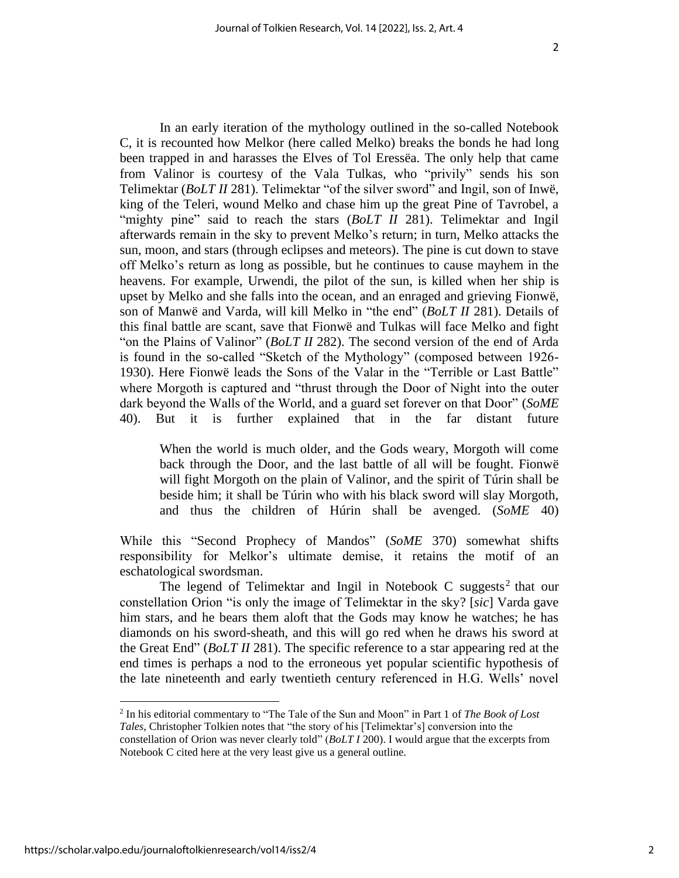In an early iteration of the mythology outlined in the so-called Notebook C, it is recounted how Melkor (here called Melko) breaks the bonds he had long been trapped in and harasses the Elves of Tol Eressëa. The only help that came from Valinor is courtesy of the Vala Tulkas, who "privily" sends his son Telimektar (*BoLT II* 281). Telimektar "of the silver sword" and Ingil, son of Inwë, king of the Teleri, wound Melko and chase him up the great Pine of Tavrobel, a "mighty pine" said to reach the stars (*BoLT II* 281). Telimektar and Ingil afterwards remain in the sky to prevent Melko's return; in turn, Melko attacks the sun, moon, and stars (through eclipses and meteors). The pine is cut down to stave off Melko's return as long as possible, but he continues to cause mayhem in the heavens. For example, Urwendi, the pilot of the sun, is killed when her ship is upset by Melko and she falls into the ocean, and an enraged and grieving Fionwë, son of Manwë and Varda, will kill Melko in "the end" (*BoLT II* 281). Details of this final battle are scant, save that Fionwë and Tulkas will face Melko and fight "on the Plains of Valinor" (*BoLT II* 282). The second version of the end of Arda is found in the so-called "Sketch of the Mythology" (composed between 1926- 1930). Here Fionwë leads the Sons of the Valar in the "Terrible or Last Battle" where Morgoth is captured and "thrust through the Door of Night into the outer dark beyond the Walls of the World, and a guard set forever on that Door" (*SoME* 40). But it is further explained that in the far distant future

When the world is much older, and the Gods weary, Morgoth will come back through the Door, and the last battle of all will be fought. Fionwë will fight Morgoth on the plain of Valinor, and the spirit of Túrin shall be beside him; it shall be Túrin who with his black sword will slay Morgoth, and thus the children of Húrin shall be avenged. (*SoME* 40)

While this "Second Prophecy of Mandos" (*SoME* 370) somewhat shifts responsibility for Melkor's ultimate demise, it retains the motif of an eschatological swordsman.

The legend of Telimektar and Ingil in Notebook C suggests<sup>2</sup> that our constellation Orion "is only the image of Telimektar in the sky? [*sic*] Varda gave him stars, and he bears them aloft that the Gods may know he watches; he has diamonds on his sword-sheath, and this will go red when he draws his sword at the Great End" (*BoLT II* 281). The specific reference to a star appearing red at the end times is perhaps a nod to the erroneous yet popular scientific hypothesis of the late nineteenth and early twentieth century referenced in H.G. Wells' novel

<sup>2</sup> In his editorial commentary to "The Tale of the Sun and Moon" in Part 1 of *The Book of Lost Tales*, Christopher Tolkien notes that "the story of his [Telimektar's] conversion into the constellation of Orion was never clearly told" (*BoLT I* 200). I would argue that the excerpts from Notebook C cited here at the very least give us a general outline.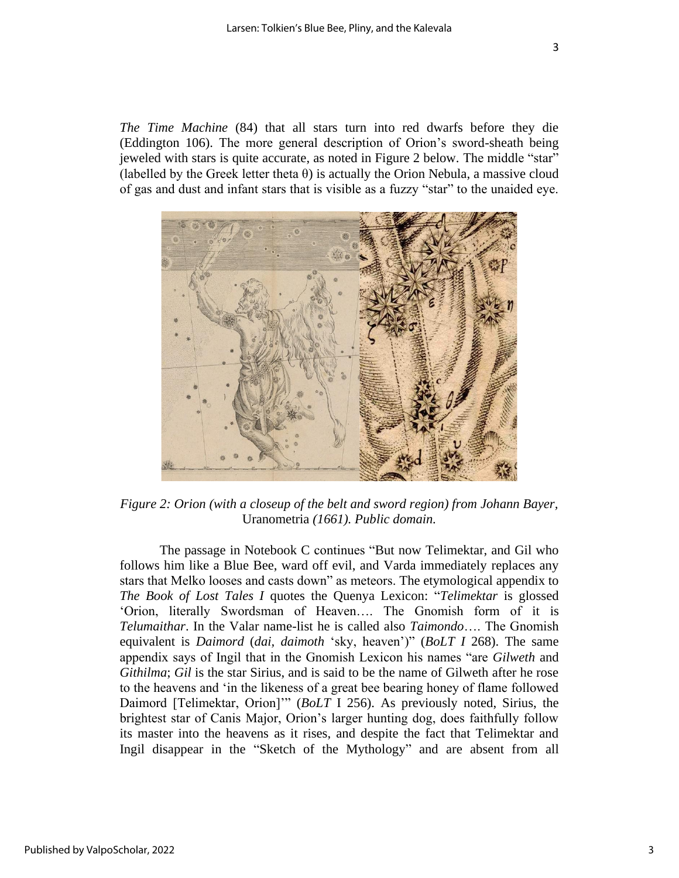*The Time Machine* (84) that all stars turn into red dwarfs before they die (Eddington 106). The more general description of Orion's sword-sheath being jeweled with stars is quite accurate, as noted in Figure 2 below. The middle "star" (labelled by the Greek letter theta  $\theta$ ) is actually the Orion Nebula, a massive cloud of gas and dust and infant stars that is visible as a fuzzy "star" to the unaided eye.



*Figure 2: Orion (with a closeup of the belt and sword region) from Johann Bayer,*  Uranometria *(1661). Public domain.*

The passage in Notebook C continues "But now Telimektar, and Gil who follows him like a Blue Bee, ward off evil, and Varda immediately replaces any stars that Melko looses and casts down" as meteors. The etymological appendix to *The Book of Lost Tales I* quotes the Quenya Lexicon: "*Telimektar* is glossed 'Orion, literally Swordsman of Heaven…. The Gnomish form of it is *Telumaithar*. In the Valar name-list he is called also *Taimondo*…. The Gnomish equivalent is *Daimord* (*dai, daimoth* 'sky, heaven')" (*BoLT I* 268). The same appendix says of Ingil that in the Gnomish Lexicon his names "are *Gilweth* and *Githilma*; *Gil* is the star Sirius, and is said to be the name of Gilweth after he rose to the heavens and 'in the likeness of a great bee bearing honey of flame followed Daimord [Telimektar, Orion]'" (*BoLT* I 256). As previously noted, Sirius, the brightest star of Canis Major, Orion's larger hunting dog, does faithfully follow its master into the heavens as it rises, and despite the fact that Telimektar and Ingil disappear in the "Sketch of the Mythology" and are absent from all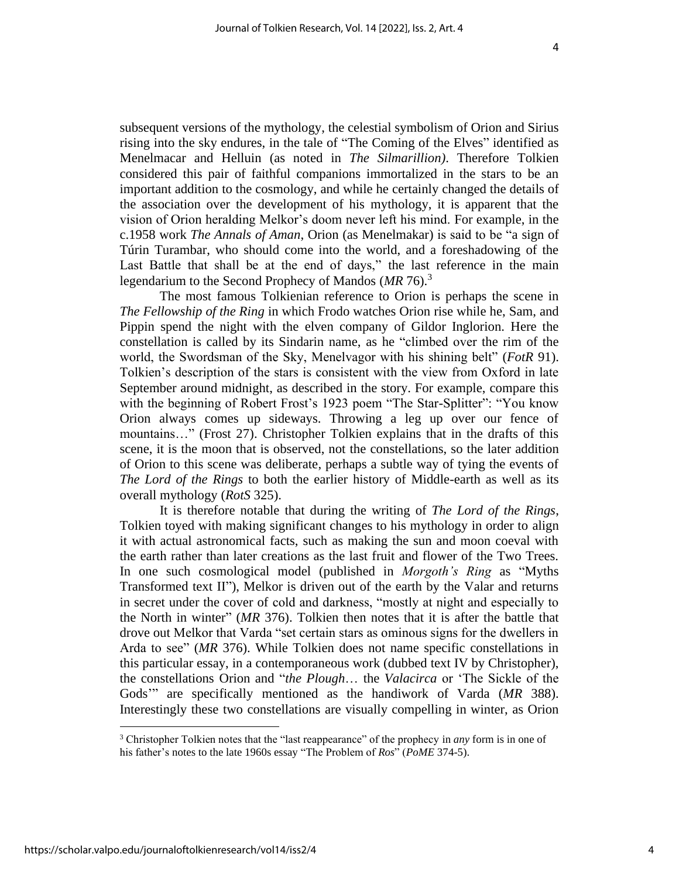subsequent versions of the mythology, the celestial symbolism of Orion and Sirius rising into the sky endures, in the tale of "The Coming of the Elves" identified as Menelmacar and Helluin (as noted in *The Silmarillion)*. Therefore Tolkien considered this pair of faithful companions immortalized in the stars to be an important addition to the cosmology, and while he certainly changed the details of the association over the development of his mythology, it is apparent that the vision of Orion heralding Melkor's doom never left his mind. For example, in the c.1958 work *The Annals of Aman*, Orion (as Menelmakar) is said to be "a sign of Túrin Turambar, who should come into the world, and a foreshadowing of the Last Battle that shall be at the end of days," the last reference in the main legendarium to the Second Prophecy of Mandos (*MR* 76). 3

The most famous Tolkienian reference to Orion is perhaps the scene in *The Fellowship of the Ring* in which Frodo watches Orion rise while he, Sam, and Pippin spend the night with the elven company of Gildor Inglorion. Here the constellation is called by its Sindarin name, as he "climbed over the rim of the world, the Swordsman of the Sky, Menelvagor with his shining belt" (*FotR* 91). Tolkien's description of the stars is consistent with the view from Oxford in late September around midnight, as described in the story. For example, compare this with the beginning of Robert Frost's 1923 poem "The Star-Splitter": "You know Orion always comes up sideways. Throwing a leg up over our fence of mountains…" (Frost 27). Christopher Tolkien explains that in the drafts of this scene, it is the moon that is observed, not the constellations, so the later addition of Orion to this scene was deliberate, perhaps a subtle way of tying the events of *The Lord of the Rings* to both the earlier history of Middle-earth as well as its overall mythology (*RotS* 325).

It is therefore notable that during the writing of *The Lord of the Rings*, Tolkien toyed with making significant changes to his mythology in order to align it with actual astronomical facts, such as making the sun and moon coeval with the earth rather than later creations as the last fruit and flower of the Two Trees. In one such cosmological model (published in *Morgoth's Ring* as "Myths Transformed text II"), Melkor is driven out of the earth by the Valar and returns in secret under the cover of cold and darkness, "mostly at night and especially to the North in winter" (*MR* 376). Tolkien then notes that it is after the battle that drove out Melkor that Varda "set certain stars as ominous signs for the dwellers in Arda to see" (*MR* 376). While Tolkien does not name specific constellations in this particular essay, in a contemporaneous work (dubbed text IV by Christopher), the constellations Orion and "*the Plough*… the *Valacirca* or 'The Sickle of the Gods'" are specifically mentioned as the handiwork of Varda (*MR* 388). Interestingly these two constellations are visually compelling in winter, as Orion

<sup>3</sup> Christopher Tolkien notes that the "last reappearance" of the prophecy in *any* form is in one of his father's notes to the late 1960s essay "The Problem of *Ros*" (*PoME* 374-5).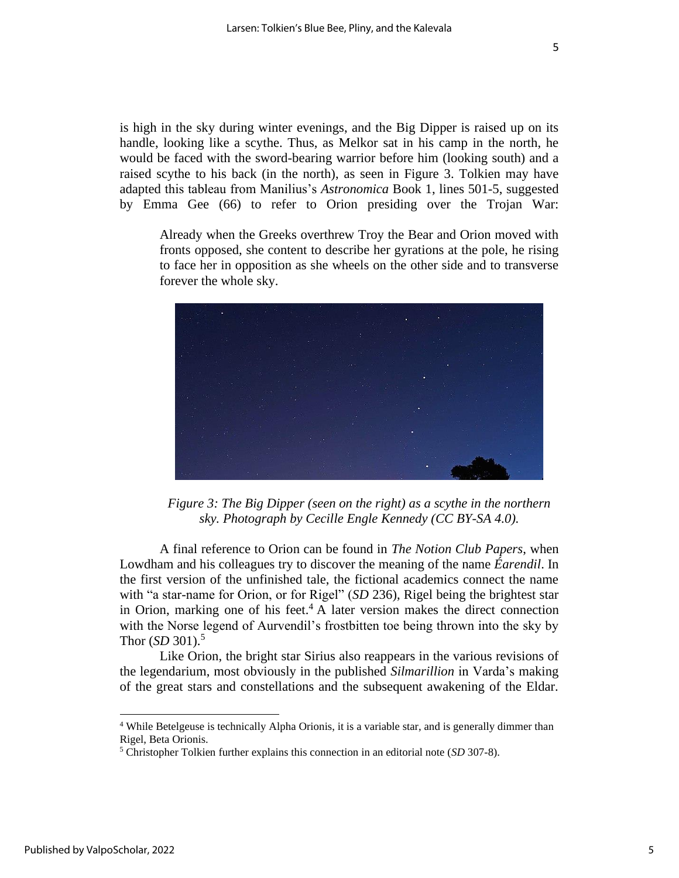is high in the sky during winter evenings, and the Big Dipper is raised up on its handle, looking like a scythe. Thus, as Melkor sat in his camp in the north, he would be faced with the sword-bearing warrior before him (looking south) and a raised scythe to his back (in the north), as seen in Figure 3. Tolkien may have adapted this tableau from Manilius's *Astronomica* Book 1, lines 501-5, suggested by Emma Gee (66) to refer to Orion presiding over the Trojan War:

Already when the Greeks overthrew Troy the Bear and Orion moved with fronts opposed, she content to describe her gyrations at the pole, he rising to face her in opposition as she wheels on the other side and to transverse forever the whole sky.



*Figure 3: The Big Dipper (seen on the right) as a scythe in the northern sky. Photograph by Cecille Engle Kennedy (CC BY-SA 4.0).*

A final reference to Orion can be found in *The Notion Club Papers*, when Lowdham and his colleagues try to discover the meaning of the name *Éarendil*. In the first version of the unfinished tale, the fictional academics connect the name with "a star-name for Orion, or for Rigel" (*SD* 236), Rigel being the brightest star in Orion, marking one of his feet.<sup>4</sup> A later version makes the direct connection with the Norse legend of Aurvendil's frostbitten toe being thrown into the sky by Thor (*SD* 301). 5

Like Orion, the bright star Sirius also reappears in the various revisions of the legendarium, most obviously in the published *Silmarillion* in Varda's making of the great stars and constellations and the subsequent awakening of the Eldar.

<sup>4</sup> While Betelgeuse is technically Alpha Orionis, it is a variable star, and is generally dimmer than Rigel, Beta Orionis.

<sup>5</sup> Christopher Tolkien further explains this connection in an editorial note (*SD* 307-8).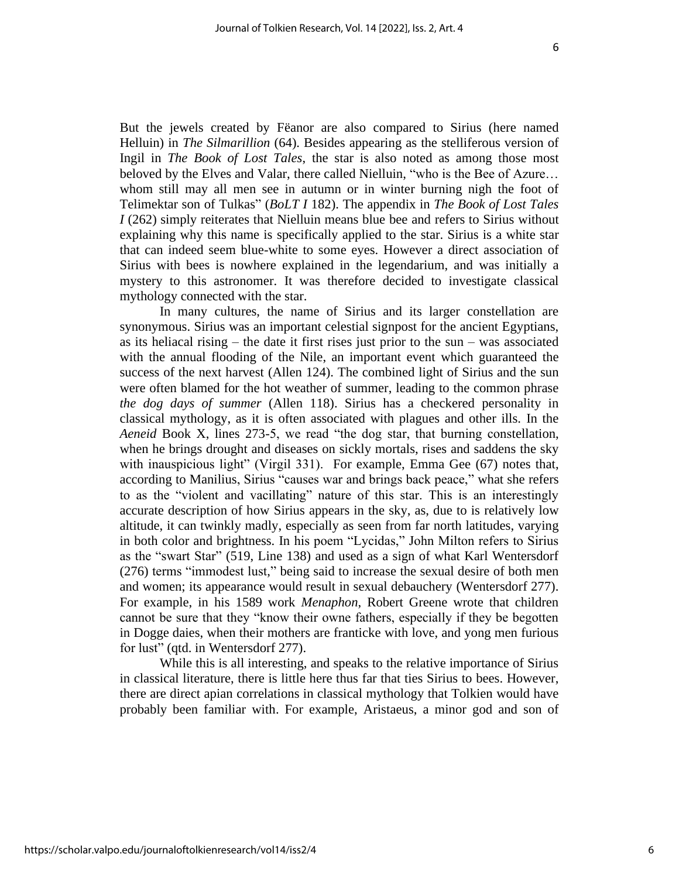But the jewels created by Fëanor are also compared to Sirius (here named Helluin) in *The Silmarillion* (64). Besides appearing as the stelliferous version of Ingil in *The Book of Lost Tales*, the star is also noted as among those most beloved by the Elves and Valar, there called Nielluin, "who is the Bee of Azure… whom still may all men see in autumn or in winter burning nigh the foot of Telimektar son of Tulkas" (*BoLT I* 182). The appendix in *The Book of Lost Tales I* (262) simply reiterates that Nielluin means blue bee and refers to Sirius without explaining why this name is specifically applied to the star. Sirius is a white star that can indeed seem blue-white to some eyes. However a direct association of Sirius with bees is nowhere explained in the legendarium, and was initially a mystery to this astronomer. It was therefore decided to investigate classical mythology connected with the star.

In many cultures, the name of Sirius and its larger constellation are synonymous. Sirius was an important celestial signpost for the ancient Egyptians, as its heliacal rising – the date it first rises just prior to the sun – was associated with the annual flooding of the Nile, an important event which guaranteed the success of the next harvest (Allen 124). The combined light of Sirius and the sun were often blamed for the hot weather of summer, leading to the common phrase *the dog days of summer* (Allen 118). Sirius has a checkered personality in classical mythology, as it is often associated with plagues and other ills. In the *Aeneid* Book X, lines 273-5, we read "the dog star, that burning constellation, when he brings drought and diseases on sickly mortals, rises and saddens the sky with inauspicious light" (Virgil 331). For example, Emma Gee (67) notes that, according to Manilius, Sirius "causes war and brings back peace," what she refers to as the "violent and vacillating" nature of this star. This is an interestingly accurate description of how Sirius appears in the sky, as, due to is relatively low altitude, it can twinkly madly, especially as seen from far north latitudes, varying in both color and brightness. In his poem "Lycidas," John Milton refers to Sirius as the "swart Star" (519, Line 138) and used as a sign of what Karl Wentersdorf (276) terms "immodest lust," being said to increase the sexual desire of both men and women; its appearance would result in sexual debauchery (Wentersdorf 277). For example, in his 1589 work *Menaphon*, Robert Greene wrote that children cannot be sure that they "know their owne fathers, especially if they be begotten in Dogge daies, when their mothers are franticke with love, and yong men furious for lust" (qtd. in Wentersdorf 277).

While this is all interesting, and speaks to the relative importance of Sirius in classical literature, there is little here thus far that ties Sirius to bees. However, there are direct apian correlations in classical mythology that Tolkien would have probably been familiar with. For example, Aristaeus, a minor god and son of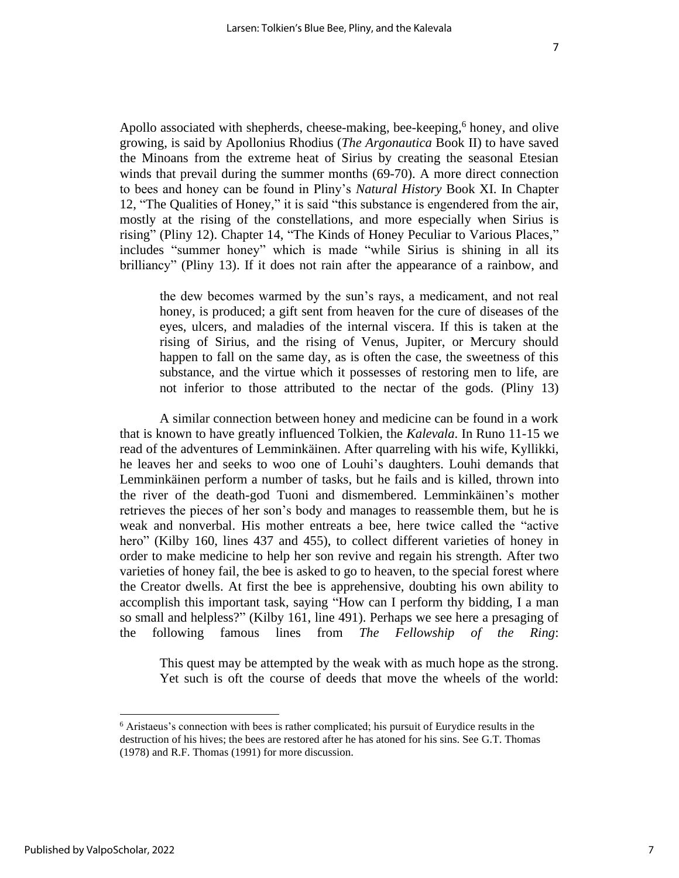Apollo associated with shepherds, cheese-making, bee-keeping,<sup>6</sup> honey, and olive growing, is said by Apollonius Rhodius (*The Argonautica* Book II) to have saved the Minoans from the extreme heat of Sirius by creating the seasonal Etesian winds that prevail during the summer months (69-70). A more direct connection to bees and honey can be found in Pliny's *Natural History* Book XI. In Chapter 12, "The Qualities of Honey," it is said "this substance is engendered from the air, mostly at the rising of the constellations, and more especially when Sirius is rising" (Pliny 12). Chapter 14, "The Kinds of Honey Peculiar to Various Places," includes "summer honey" which is made "while Sirius is shining in all its brilliancy" (Pliny 13). If it does not rain after the appearance of a rainbow, and

the dew becomes warmed by the sun's rays, a medicament, and not real honey, is produced; a gift sent from heaven for the cure of diseases of the eyes, ulcers, and maladies of the internal viscera. If this is taken at the rising of Sirius, and the rising of Venus, Jupiter, or Mercury should happen to fall on the same day, as is often the case, the sweetness of this substance, and the virtue which it possesses of restoring men to life, are not inferior to those attributed to the nectar of the gods. (Pliny 13)

A similar connection between honey and medicine can be found in a work that is known to have greatly influenced Tolkien, the *Kalevala*. In Runo 11-15 we read of the adventures of Lemminkäinen. After quarreling with his wife, Kyllikki, he leaves her and seeks to woo one of Louhi's daughters. Louhi demands that Lemminkäinen perform a number of tasks, but he fails and is killed, thrown into the river of the death-god Tuoni and dismembered. Lemminkäinen's mother retrieves the pieces of her son's body and manages to reassemble them, but he is weak and nonverbal. His mother entreats a bee, here twice called the "active hero" (Kilby 160, lines 437 and 455), to collect different varieties of honey in order to make medicine to help her son revive and regain his strength. After two varieties of honey fail, the bee is asked to go to heaven, to the special forest where the Creator dwells. At first the bee is apprehensive, doubting his own ability to accomplish this important task, saying "How can I perform thy bidding, I a man so small and helpless?" (Kilby 161, line 491). Perhaps we see here a presaging of the following famous lines from *The Fellowship of the Ring*:

This quest may be attempted by the weak with as much hope as the strong. Yet such is oft the course of deeds that move the wheels of the world:

<sup>6</sup> Aristaeus's connection with bees is rather complicated; his pursuit of Eurydice results in the destruction of his hives; the bees are restored after he has atoned for his sins. See G.T. Thomas (1978) and R.F. Thomas (1991) for more discussion.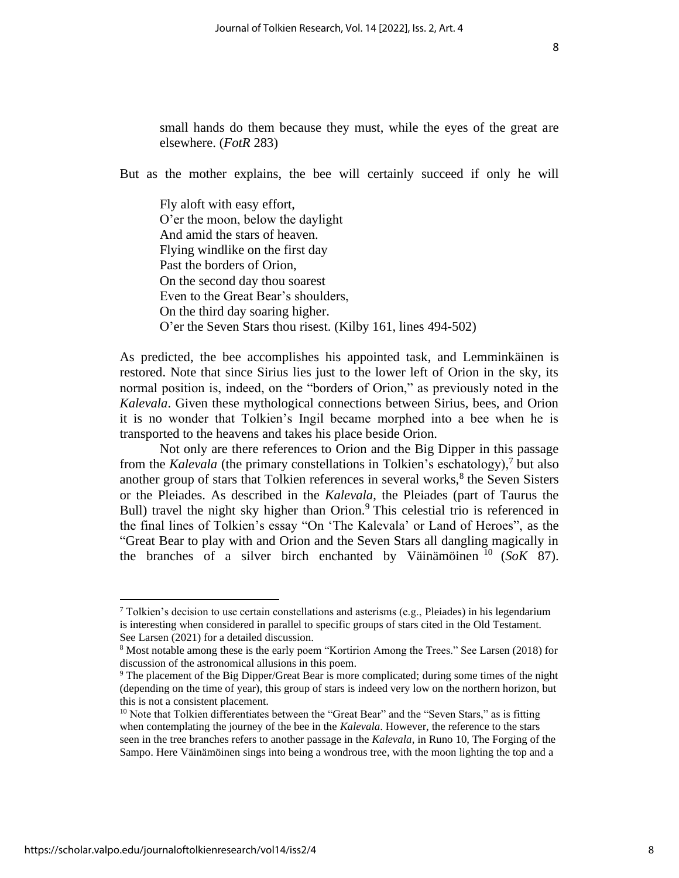small hands do them because they must, while the eyes of the great are elsewhere. (*FotR* 283)

But as the mother explains, the bee will certainly succeed if only he will

Fly aloft with easy effort, O'er the moon, below the daylight And amid the stars of heaven. Flying windlike on the first day Past the borders of Orion, On the second day thou soarest Even to the Great Bear's shoulders, On the third day soaring higher. O'er the Seven Stars thou risest. (Kilby 161, lines 494-502)

As predicted, the bee accomplishes his appointed task, and Lemminkäinen is restored. Note that since Sirius lies just to the lower left of Orion in the sky, its normal position is, indeed, on the "borders of Orion," as previously noted in the *Kalevala*. Given these mythological connections between Sirius, bees, and Orion it is no wonder that Tolkien's Ingil became morphed into a bee when he is transported to the heavens and takes his place beside Orion.

Not only are there references to Orion and the Big Dipper in this passage from the *Kalevala* (the primary constellations in Tolkien's eschatology),<sup>7</sup> but also another group of stars that Tolkien references in several works, $<sup>8</sup>$  the Seven Sisters</sup> or the Pleiades. As described in the *Kalevala*, the Pleiades (part of Taurus the Bull) travel the night sky higher than Orion.<sup>9</sup> This celestial trio is referenced in the final lines of Tolkien's essay "On 'The Kalevala' or Land of Heroes", as the "Great Bear to play with and Orion and the Seven Stars all dangling magically in the branches of a silver birch enchanted by Väinämöinen  $^{10}$  (*SoK* 87).

<sup>&</sup>lt;sup>7</sup> Tolkien's decision to use certain constellations and asterisms (e.g., Pleiades) in his legendarium is interesting when considered in parallel to specific groups of stars cited in the Old Testament. See Larsen (2021) for a detailed discussion.

<sup>8</sup> Most notable among these is the early poem "Kortirion Among the Trees." See Larsen (2018) for discussion of the astronomical allusions in this poem.

<sup>&</sup>lt;sup>9</sup> The placement of the Big Dipper/Great Bear is more complicated; during some times of the night (depending on the time of year), this group of stars is indeed very low on the northern horizon, but this is not a consistent placement.

 $10$  Note that Tolkien differentiates between the "Great Bear" and the "Seven Stars," as is fitting when contemplating the journey of the bee in the *Kalevala*. However, the reference to the stars seen in the tree branches refers to another passage in the *Kalevala*, in Runo 10, The Forging of the Sampo. Here Väinämöinen sings into being a wondrous tree, with the moon lighting the top and a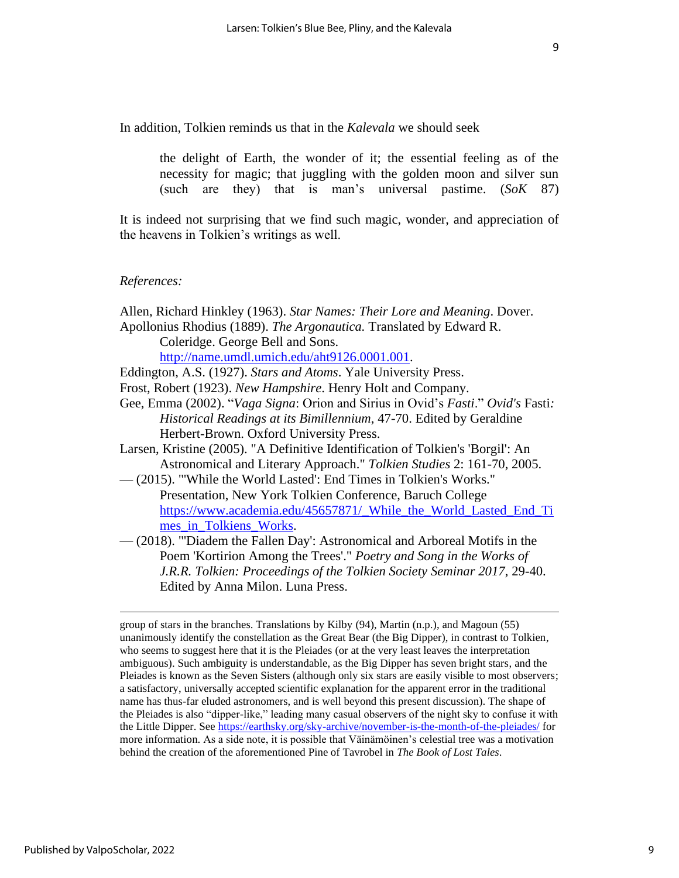In addition, Tolkien reminds us that in the *Kalevala* we should seek

the delight of Earth, the wonder of it; the essential feeling as of the necessity for magic; that juggling with the golden moon and silver sun (such are they) that is man's universal pastime. (*SoK* 87)

It is indeed not surprising that we find such magic, wonder, and appreciation of the heavens in Tolkien's writings as well.

#### *References:*

Allen, Richard Hinkley (1963). *Star Names: Their Lore and Meaning*. Dover. Apollonius Rhodius (1889). *The Argonautica.* Translated by Edward R.

Coleridge. George Bell and Sons.

[http://name.umdl.umich.edu/aht9126.0001.001.](http://name.umdl.umich.edu/aht9126.0001.001)

- Eddington, A.S. (1927). *Stars and Atoms*. Yale University Press.
- Frost, Robert (1923). *New Hampshire*. Henry Holt and Company.
- Gee, Emma (2002). "*Vaga Signa*: Orion and Sirius in Ovid's *Fasti*." *Ovid's* Fasti*: Historical Readings at its Bimillennium*, 47-70. Edited by Geraldine Herbert-Brown. Oxford University Press.
- Larsen, Kristine (2005). "A Definitive Identification of Tolkien's 'Borgil': An Astronomical and Literary Approach." *Tolkien Studies* 2: 161-70, 2005.
- (2015). "'While the World Lasted': End Times in Tolkien's Works." Presentation, New York Tolkien Conference, Baruch College [https://www.academia.edu/45657871/\\_While\\_the\\_World\\_Lasted\\_End\\_Ti](https://www.academia.edu/45657871/_While_the_World_Lasted_End_Times_in_Tolkiens_Works) [mes\\_in\\_Tolkiens\\_Works.](https://www.academia.edu/45657871/_While_the_World_Lasted_End_Times_in_Tolkiens_Works)
- (2018). "'Diadem the Fallen Day': Astronomical and Arboreal Motifs in the Poem 'Kortirion Among the Trees'." *Poetry and Song in the Works of J.R.R. Tolkien: Proceedings of the Tolkien Society Seminar 2017*, 29-40. Edited by Anna Milon. Luna Press.

group of stars in the branches. Translations by Kilby (94), Martin (n.p.), and Magoun (55) unanimously identify the constellation as the Great Bear (the Big Dipper), in contrast to Tolkien, who seems to suggest here that it is the Pleiades (or at the very least leaves the interpretation ambiguous). Such ambiguity is understandable, as the Big Dipper has seven bright stars, and the Pleiades is known as the Seven Sisters (although only six stars are easily visible to most observers; a satisfactory, universally accepted scientific explanation for the apparent error in the traditional name has thus-far eluded astronomers, and is well beyond this present discussion). The shape of the Pleiades is also "dipper-like," leading many casual observers of the night sky to confuse it with the Little Dipper. Se[e https://earthsky.org/sky-archive/november-is-the-month-of-the-pleiades/](https://earthsky.org/sky-archive/november-is-the-month-of-the-pleiades/) for more information. As a side note, it is possible that Väinämöinen's celestial tree was a motivation behind the creation of the aforementioned Pine of Tavrobel in *The Book of Lost Tales*.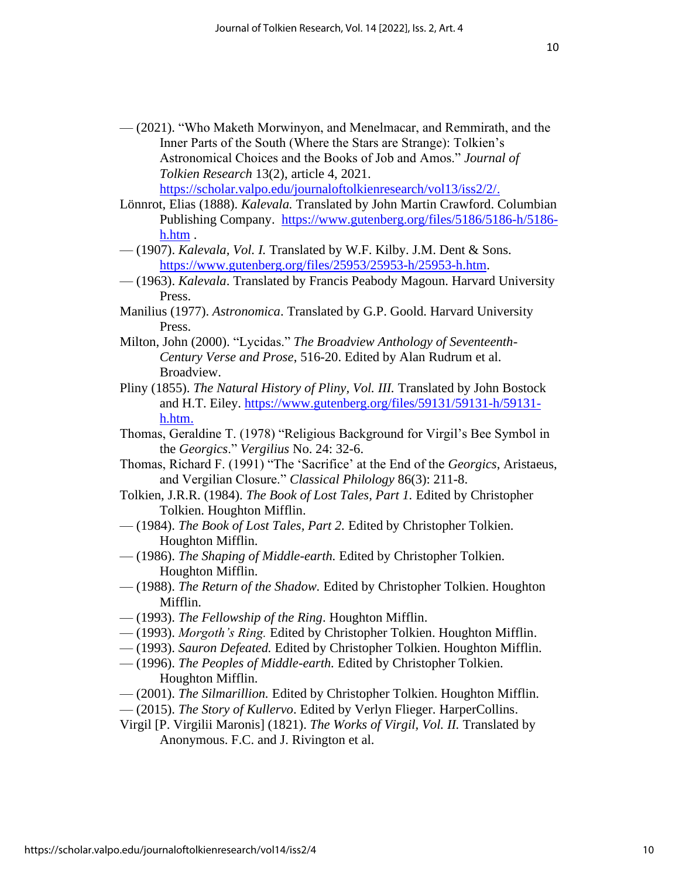— (2021). "Who Maketh Morwinyon, and Menelmacar, and Remmirath, and the Inner Parts of the South (Where the Stars are Strange): Tolkien's Astronomical Choices and the Books of Job and Amos." *Journal of Tolkien Research* 13(2), article 4, 2021. [https://scholar.valpo.edu/journaloftolkienresearch/vol13/iss2/2/.](https://scholar.valpo.edu/journaloftolkienresearch/vol13/iss2/2/)

Lönnrot, Elias (1888). *Kalevala.* Translated by John Martin Crawford. Columbian Publishing Company. [https://www.gutenberg.org/files/5186/5186-h/5186](https://www.gutenberg.org/files/5186/5186-h/5186-h.htm) [h.htm](https://www.gutenberg.org/files/5186/5186-h/5186-h.htm) .

— (1907). *Kalevala, Vol. I.* Translated by W.F. Kilby. J.M. Dent & Sons. [https://www.gutenberg.org/files/25953/25953-h/25953-h.htm.](https://www.gutenberg.org/files/25953/25953-h/25953-h.htm)

- (1963). *Kalevala*. Translated by Francis Peabody Magoun. Harvard University Press.
- Manilius (1977). *Astronomica*. Translated by G.P. Goold. Harvard University Press.
- Milton, John (2000). "Lycidas." *The Broadview Anthology of Seventeenth-Century Verse and Prose*, 516-20. Edited by Alan Rudrum et al. Broadview.
- Pliny (1855). *The Natural History of Pliny, Vol. III.* Translated by John Bostock and H.T. Eiley. [https://www.gutenberg.org/files/59131/59131-h/59131](https://www.gutenberg.org/files/59131/59131-h/59131-h.htm) [h.htm.](https://www.gutenberg.org/files/59131/59131-h/59131-h.htm)
- Thomas, Geraldine T. (1978) "Religious Background for Virgil's Bee Symbol in the *Georgics*." *Vergilius* No. 24: 32-6.
- Thomas, Richard F. (1991) "The 'Sacrifice' at the End of the *Georgics*, Aristaeus, and Vergilian Closure." *Classical Philology* 86(3): 211-8.
- Tolkien, J.R.R. (1984). *The Book of Lost Tales, Part 1.* Edited by Christopher Tolkien. Houghton Mifflin.
- (1984). *The Book of Lost Tales, Part 2.* Edited by Christopher Tolkien. Houghton Mifflin.
- (1986). *The Shaping of Middle-earth.* Edited by Christopher Tolkien. Houghton Mifflin.
- (1988). *The Return of the Shadow.* Edited by Christopher Tolkien. Houghton Mifflin.
- (1993). *The Fellowship of the Ring*. Houghton Mifflin.
- (1993). *Morgoth's Ring.* Edited by Christopher Tolkien. Houghton Mifflin.
- (1993). *Sauron Defeated.* Edited by Christopher Tolkien. Houghton Mifflin.
- (1996). *The Peoples of Middle-earth.* Edited by Christopher Tolkien. Houghton Mifflin.
- (2001). *The Silmarillion.* Edited by Christopher Tolkien. Houghton Mifflin.
- (2015). *The Story of Kullervo*. Edited by Verlyn Flieger. HarperCollins.
- Virgil [P. Virgilii Maronis] (1821). *The Works of Virgil, Vol. II.* Translated by Anonymous. F.C. and J. Rivington et al.